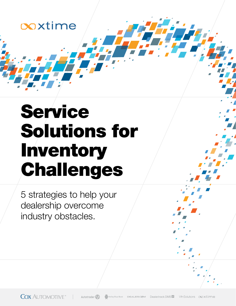

# Service Solutions for Inventory Challenges

5 strategies to help your dealership overcome industry obstacles.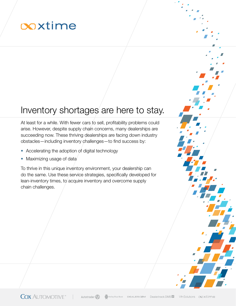# ooxtime

#### Inventory shortages are here to stay.

At least for a while. With fewer cars to sell, profitability problems could arise. However, despite supply chain concerns, many dealerships are succeeding now. These thriving dealerships are facing down industry obstacles—including inventory challenges—to find success by:

- Accelerating the adoption of digital technology
- Maximizing usage of data

To thrive in this unique inventory environment, your dealership can do the same. Use these service strategies, specifically developed for lean-inventory times, to acquire inventory and overcome supply chain challenges.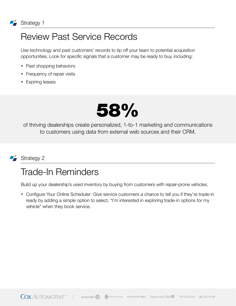

#### Review Past Service Records

Use technology and past customers' records to tip off your team to potential acquisition opportunities. Look for specific signals that a customer may be ready to buy, including:

- Past shopping behaviors
- Frequency of repair visits
- Expiring leases



of thriving dealerships create personalized, 1-to-1 marketing and communications to customers using data from external web sources and their CRM.



#### Trade-In Reminders

Build up your dealership's used inventory by buying from customers with repair-prone vehicles.

• Configure Your Online Scheduler: Give service customers a chance to tell you if they're trade-in ready by adding a simple option to select, "I'm interested in exploring trade-in options for my vehicle" when they book service.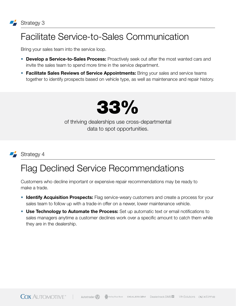## Facilitate Service-to-Sales Communication

Bring your sales team into the service loop.

- Develop a Service-to-Sales Process: Proactively seek out after the most wanted cars and invite the sales team to spend more time in the service department.
- Facilitate Sales Reviews of Service Appointments: Bring your sales and service teams together to identify prospects based on vehicle type, as well as maintenance and repair history.



of thriving dealerships use cross-departmental data to spot opportunities.



#### Strategy 4

#### Flag Declined Service Recommendations

Customers who decline important or expensive repair recommendations may be ready to make a trade.

- Identify Acquisition Prospects: Flag service-weary customers and create a process for your sales team to follow up with a trade-in offer on a newer, lower maintenance vehicle.
- Use Technology to Automate the Process: Set up automatic text or email notifications to sales managers anytime a customer declines work over a specific amount to catch them while they are in the dealership.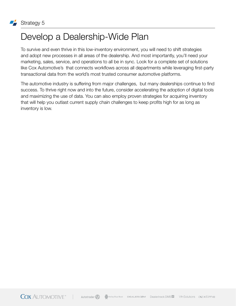

#### Develop a Dealership-Wide Plan

To survive and even thrive in this low-inventory environment, you will need to shift strategies and adopt new processes in all areas of the dealership. And most importantly, you'll need your marketing, sales, service, and operations to all be in sync. Look for a complete set of solutions like Cox Automotive's that connects workflows across all departments while leveraging first-party transactional data from the world's most trusted consumer automotive platforms.

The automotive industry is suffering from major challenges, but many dealerships continue to find success. To thrive right now and into the future, consider accelerating the adoption of digital tools and maximizing the use of data. You can also employ proven strategies for acquiring inventory that will help you outlast current supply chain challenges to keep profits high for as long as inventory is low.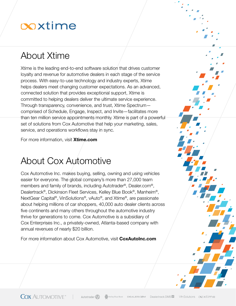# coxtime

### About Xtime

Xtime is the leading end-to-end software solution that drives customer loyalty and revenue for automotive dealers in each stage of the service process. With easy-to-use technology and industry experts, Xtime helps dealers meet changing customer expectations. As an advanced, connected solution that provides exceptional support, Xtime is committed to helping dealers deliver the ultimate service experience. Through transparency, convenience, and trust, Xtime Spectrum comprised of Schedule, Engage, Inspect, and Invite—facilitates more than ten million service appointments monthly. Xtime is part of a powerful set of solutions from Cox Automotive that help your marketing, sales, service, and operations workflows stay in sync.

For more information, visit [Xtime.com](https://xtime.com/xtime/?utm_source=xt&utm_medium=pdf&utm_campaign=xt-brand-spectrum&utm_content=service-inventory-solutions-ebook-pdf)

### About Cox Automotive

Cox Automotive Inc. makes buying, selling, owning and using vehicles easier for everyone. The global company's more than 27,000 team members and family of brands, including Autotrader®, Dealer.com®, Dealertrack®, Dickinson Fleet Services, Kelley Blue Book®, Manheim®, NextGear Capital®, VinSolutions®, vAuto®, and Xtime®, are passionate about helping millions of car shoppers, 40,000 auto dealer clients across five continents and many others throughout the automotive industry thrive for generations to come. Cox Automotive is a subsidiary of Cox Enterprises Inc., a privately-owned, Atlanta-based company with annual revenues of nearly \$20 billion.

For more information about Cox Automotive, visit **CoxAutoInc.com**